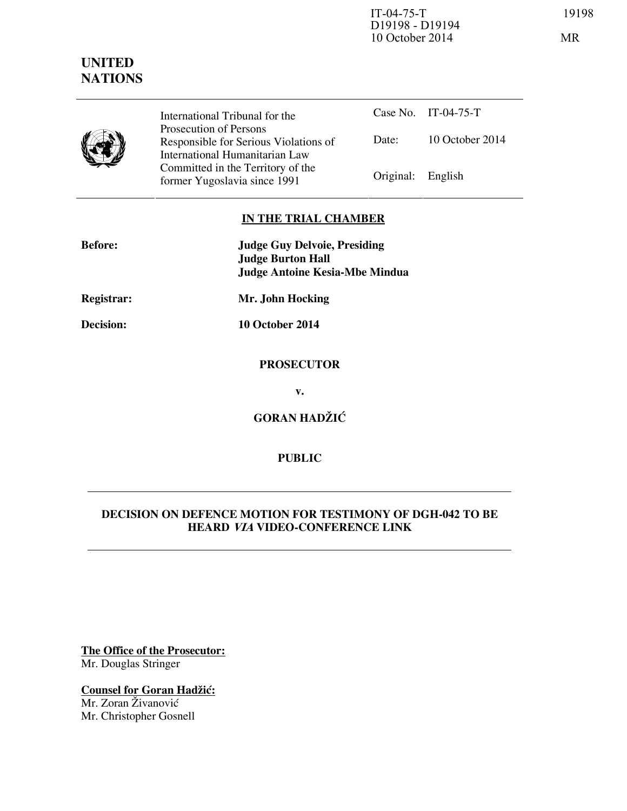IT-04-75-T 19198 D19198 - D19194 10 October 2014 MR

# **UNITED NATIONS**



International Tribunal for the Prosecution of Persons Responsible for Serious Violations of International Humanitarian Law Committed in the Territory of the Former Yugoslavia since 1991 Original: English

Case No. IT-04-75-T Date: 10 October 2014

### **IN THE TRIAL CHAMBER**

| <b>Before:</b>   | <b>Judge Guy Delvoie, Presiding</b><br><b>Judge Burton Hall</b> |
|------------------|-----------------------------------------------------------------|
|                  | <b>Judge Antoine Kesia-Mbe Mindua</b>                           |
| Registrar:       | Mr. John Hocking                                                |
| <b>Decision:</b> | 10 October 2014                                                 |
|                  | <b>PROSECUTOR</b>                                               |
|                  | v.                                                              |
|                  | <b>GORAN HADŽIĆ</b>                                             |

## **PUBLIC**

### **DECISION ON DEFENCE MOTION FOR TESTIMONY OF DGH-042 TO BE HEARD VIA VIDEO-CONFERENCE LINK**

**The Office of the Prosecutor:** Mr. Douglas Stringer

**Counsel for Goran Hadžić:** Mr. Zoran Živanović Mr. Christopher Gosnell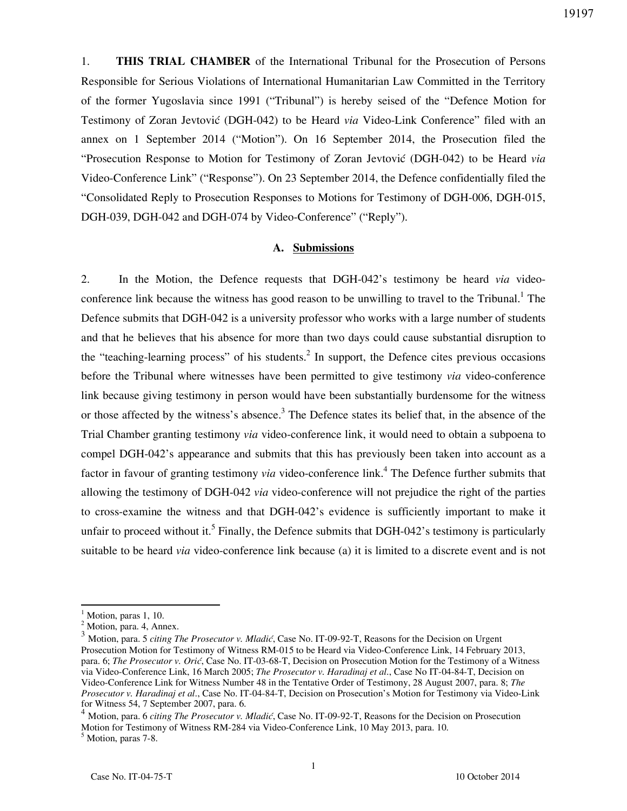1. **THIS TRIAL CHAMBER** of the International Tribunal for the Prosecution of Persons Responsible for Serious Violations of International Humanitarian Law Committed in the Territory of the former Yugoslavia since 1991 ("Tribunal") is hereby seised of the "Defence Motion for Testimony of Zoran Jevtović (DGH-042) to be Heard *via* Video-Link Conference" filed with an annex on 1 September 2014 ("Motion"). On 16 September 2014, the Prosecution filed the "Prosecution Response to Motion for Testimony of Zoran Jevtovi} (DGH-042) to be Heard *via* Video-Conference Link" ("Response"). On 23 September 2014, the Defence confidentially filed the "Consolidated Reply to Prosecution Responses to Motions for Testimony of DGH-006, DGH-015, DGH-039, DGH-042 and DGH-074 by Video-Conference" ("Reply").

#### **A. Submissions**

2. In the Motion, the Defence requests that DGH-042's testimony be heard *via* videoconference link because the witness has good reason to be unwilling to travel to the Tribunal.<sup>1</sup> The Defence submits that DGH-042 is a university professor who works with a large number of students and that he believes that his absence for more than two days could cause substantial disruption to the "teaching-learning process" of his students.<sup>2</sup> In support, the Defence cites previous occasions before the Tribunal where witnesses have been permitted to give testimony *via* video-conference link because giving testimony in person would have been substantially burdensome for the witness or those affected by the witness's absence.<sup>3</sup> The Defence states its belief that, in the absence of the Trial Chamber granting testimony *via* video-conference link, it would need to obtain a subpoena to compel DGH-042's appearance and submits that this has previously been taken into account as a factor in favour of granting testimony *via* video-conference link.<sup>4</sup> The Defence further submits that allowing the testimony of DGH-042 *via* video-conference will not prejudice the right of the parties to cross-examine the witness and that DGH-042's evidence is sufficiently important to make it unfair to proceed without it.<sup>5</sup> Finally, the Defence submits that DGH-042's testimony is particularly suitable to be heard *via* video-conference link because (a) it is limited to a discrete event and is not

 $\overline{a}$ 

<sup>1</sup> Motion, paras 1, 10.

<sup>&</sup>lt;sup>2</sup> Motion, para. 4, Annex.

<sup>3</sup> Motion, para. 5 *citing The Prosecutor v. Mladić*, Case No. IT-09-92-T, Reasons for the Decision on Urgent Prosecution Motion for Testimony of Witness RM-015 to be Heard via Video-Conference Link, 14 February 2013, para. 6; *The Prosecutor v. Orić*, Case No. IT-03-68-T, Decision on Prosecution Motion for the Testimony of a Witness via Video-Conference Link, 16 March 2005; *The Prosecutor v. Haradinaj et al*., Case No IT-04-84-T, Decision on Video-Conference Link for Witness Number 48 in the Tentative Order of Testimony, 28 August 2007, para. 8; *The Prosecutor v. Haradinaj et al*., Case No. IT-04-84-T, Decision on Prosecution's Motion for Testimony via Video-Link for Witness 54, 7 September 2007, para. 6.

<sup>4</sup> Motion, para. 6 *citing The Prosecutor v. Mladić*, Case No. IT-09-92-T, Reasons for the Decision on Prosecution Motion for Testimony of Witness RM-284 via Video-Conference Link, 10 May 2013, para. 10.

<sup>5</sup> Motion, paras 7-8.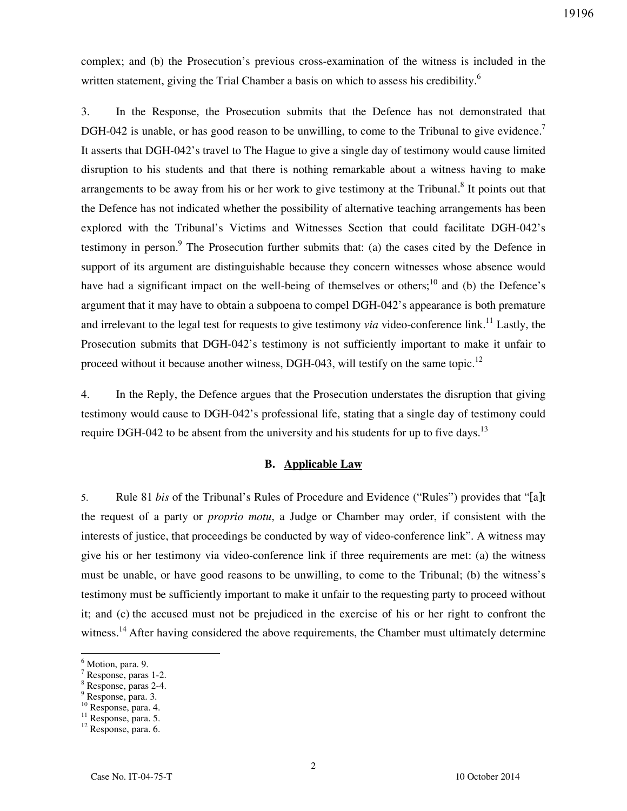complex; and (b) the Prosecution's previous cross-examination of the witness is included in the written statement, giving the Trial Chamber a basis on which to assess his credibility.<sup>6</sup>

3. In the Response, the Prosecution submits that the Defence has not demonstrated that DGH-042 is unable, or has good reason to be unwilling, to come to the Tribunal to give evidence.<sup>7</sup> It asserts that DGH-042's travel to The Hague to give a single day of testimony would cause limited disruption to his students and that there is nothing remarkable about a witness having to make arrangements to be away from his or her work to give testimony at the Tribunal. $8$  It points out that the Defence has not indicated whether the possibility of alternative teaching arrangements has been explored with the Tribunal's Victims and Witnesses Section that could facilitate DGH-042's testimony in person.<sup>9</sup> The Prosecution further submits that: (a) the cases cited by the Defence in support of its argument are distinguishable because they concern witnesses whose absence would have had a significant impact on the well-being of themselves or others;<sup>10</sup> and (b) the Defence's argument that it may have to obtain a subpoena to compel DGH-042's appearance is both premature and irrelevant to the legal test for requests to give testimony *via* video-conference link.<sup>11</sup> Lastly, the Prosecution submits that DGH-042's testimony is not sufficiently important to make it unfair to proceed without it because another witness, DGH-043, will testify on the same topic.<sup>12</sup>

4. In the Reply, the Defence argues that the Prosecution understates the disruption that giving testimony would cause to DGH-042's professional life, stating that a single day of testimony could require DGH-042 to be absent from the university and his students for up to five days.<sup>13</sup>

#### **B. Applicable Law**

5. Rule 81 *bis* of the Tribunal's Rules of Procedure and Evidence ("Rules") provides that "[a]t the request of a party or *proprio motu*, a Judge or Chamber may order, if consistent with the interests of justice, that proceedings be conducted by way of video-conference link". A witness may give his or her testimony via video-conference link if three requirements are met: (a) the witness must be unable, or have good reasons to be unwilling, to come to the Tribunal; (b) the witness's testimony must be sufficiently important to make it unfair to the requesting party to proceed without it; and (c) the accused must not be prejudiced in the exercise of his or her right to confront the witness.<sup>14</sup> After having considered the above requirements, the Chamber must ultimately determine

 $\overline{a}$ 

<sup>&</sup>lt;sup>6</sup> Motion, para. 9.

<sup>7</sup> Response, paras 1-2.

<sup>8</sup> Response, paras 2-4.

<sup>&</sup>lt;sup>9</sup> Response, para. 3.

<sup>10</sup> Response, para. 4.

<sup>&</sup>lt;sup>11</sup> Response, para. 5.

<sup>&</sup>lt;sup>12</sup> Response, para. 6.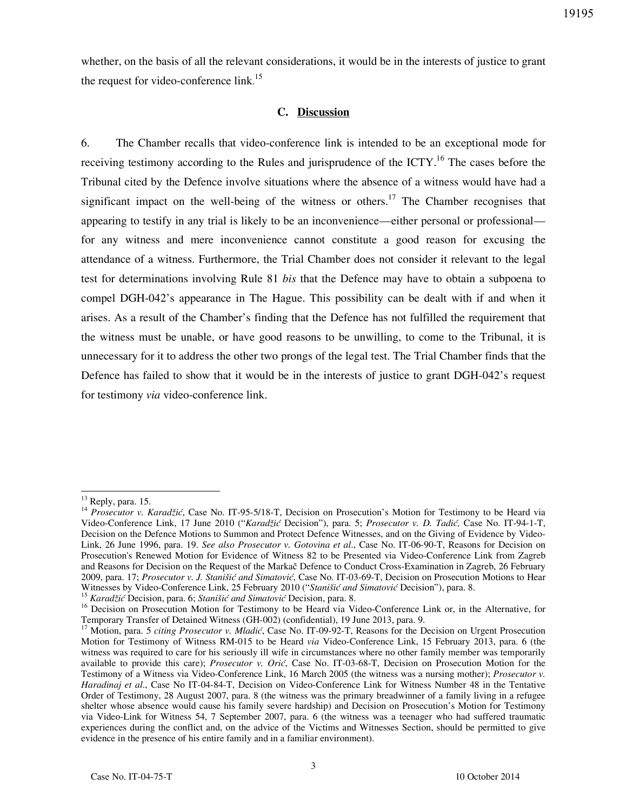whether, on the basis of all the relevant considerations, it would be in the interests of justice to grant the request for video-conference link.<sup>15</sup>

### **C. Discussion**

6. The Chamber recalls that video-conference link is intended to be an exceptional mode for receiving testimony according to the Rules and jurisprudence of the ICTY.<sup>16</sup> The cases before the Tribunal cited by the Defence involve situations where the absence of a witness would have had a significant impact on the well-being of the witness or others.<sup>17</sup> The Chamber recognises that appearing to testify in any trial is likely to be an inconvenience—either personal or professional for any witness and mere inconvenience cannot constitute a good reason for excusing the attendance of a witness. Furthermore, the Trial Chamber does not consider it relevant to the legal test for determinations involving Rule 81 *bis* that the Defence may have to obtain a subpoena to compel DGH-042's appearance in The Hague. This possibility can be dealt with if and when it arises. As a result of the Chamber's finding that the Defence has not fulfilled the requirement that the witness must be unable, or have good reasons to be unwilling, to come to the Tribunal, it is unnecessary for it to address the other two prongs of the legal test. The Trial Chamber finds that the Defence has failed to show that it would be in the interests of justice to grant DGH-042's request for testimony *via* video-conference link.

 $\overline{a}$ 

<sup>15</sup> Karadžić Decision, para. 6; *Stanišić and Simatović* Decision, para. 8.

 $13$  Reply, para. 15.

<sup>14</sup> *Prosecutor v. Karadžić*, Case No. IT-95-5/18-T, Decision on Prosecution's Motion for Testimony to be Heard via Video-Conference Link, 17 June 2010 ("*Karadžić* Decision"), para. 5; *Prosecutor v. D. Tadić,* Case No. IT-94-1-T, Decision on the Defence Motions to Summon and Protect Defence Witnesses, and on the Giving of Evidence by Video-Link, 26 June 1996, para. 19. *See also Prosecutor v. Gotovina et al*., Case No. IT-06-90-T, Reasons for Decision on Prosecution's Renewed Motion for Evidence of Witness 82 to be Presented via Video-Conference Link from Zagreb and Reasons for Decision on the Request of the Markač Defence to Conduct Cross-Examination in Zagreb, 26 February 2009, para. 17; *Prosecutor v. J. Stanišić and Simatović*, Case No. IT-03-69-T, Decision on Prosecution Motions to Hear Witnesses by Video-Conference Link, 25 February 2010 ("Stanišić and Simatović Decision"), para. 8.

<sup>&</sup>lt;sup>16</sup> Decision on Prosecution Motion for Testimony to be Heard via Video-Conference Link or, in the Alternative, for Temporary Transfer of Detained Witness (GH-002) (confidential), 19 June 2013, para. 9.

<sup>&</sup>lt;sup>17</sup> Motion, para. 5 *citing Prosecutor v. Mladić*, Case No. IT-09-92-T, Reasons for the Decision on Urgent Prosecution Motion for Testimony of Witness RM-015 to be Heard *via* Video-Conference Link, 15 February 2013, para. 6 (the witness was required to care for his seriously ill wife in circumstances where no other family member was temporarily available to provide this care); *Prosecutor v. Orić*, Case No. IT-03-68-T, Decision on Prosecution Motion for the Testimony of a Witness via Video-Conference Link, 16 March 2005 (the witness was a nursing mother); *Prosecutor v. Haradinaj et al*., Case No IT-04-84-T, Decision on Video-Conference Link for Witness Number 48 in the Tentative Order of Testimony, 28 August 2007, para. 8 (the witness was the primary breadwinner of a family living in a refugee shelter whose absence would cause his family severe hardship) and Decision on Prosecution's Motion for Testimony via Video-Link for Witness 54, 7 September 2007, para. 6 (the witness was a teenager who had suffered traumatic experiences during the conflict and, on the advice of the Victims and Witnesses Section, should be permitted to give evidence in the presence of his entire family and in a familiar environment).